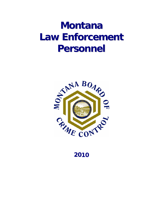# **Montana Law Enforcement Personnel**



**2010**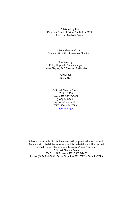Published by the Montana Board of Crime Control (MBCC) Statistical Analysis Center

Mike Anderson, Chair Don Merritt, Acting Executive Director

 Jimmy Steyee, SAC Director/Statistician Prepared by Kathy Ruppert, Data Manager

> Published: July 2011

5 S Last Chance Gulch PO Box 1408 Helena MT 59620-1408 (406) 444-3604 Fax (406) 444-4722 TTY (406) 444-7099 mbcc@mt.gov

Alternative formats of this document will be provided upon request. Persons with disabilities who require this material in another format should contact the Montana Board of Crime Control at 5 S Last Chance Gulch PO Box 1408 Helena MT 59620-1408 Phone (406) 444-3604 Fax (406) 444-4722 TTY (406) 444-7099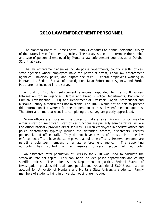### **2010 LAW ENFORCEMENT PERSONNEL**

 The Montana Board of Crime Control (MBCC) conducts an annual personnel survey of the state's law enforcement agencies. The survey is used to determine the number and type of personnel employed by Montana law enforcement agencies as of October 31 of that year.

 The law enforcement agencies include police departments, county sheriffs' offices, state agencies whose employees have the power of arrest, Tribal law enforcement agencies, university police, and airport securities. Federal employees working in Montana i.e. Federal Bureau of Investigation, Drug Enforcement Agency, and Border Patrol are not included in the survey.

 A total of 126 law enforcement agencies responded to the 2010 survey. Information for six agencies (Hardin and Broadus Police Departments; Division of Criminal Investigation – DOJ and Department of Livestock; Logan International and Missoula County Airports) was not available. The MBCC would not be able to present this information if it weren't for the cooperation of these law enforcement agencies. The effort and time that went into completing the survey are greatly appreciated.

 Sworn officers are those with the power to make arrests. A sworn officer may be either a staff or line officer. Staff officer functions are primarily administrative, while a line officer basically provides direct services. Civilian employees in sheriffs' offices and police departments typically include the detention officers, dispatchers, records personnel, and office staff. They do not have powers of arrest. Part-time law enforcement officers have the same powers as full-time officers. Reserve personnel are part-time volunteer members of a law enforcement agency. The appointing authority has control of a reserve officer's scope of authority.

 An estimated total population of 989,415 for 2010 was used to calculate the statewide rate per capita. This population includes police departments and county sheriffs' offices. The United States Department of Justice, Federal Bureau of Investigation, provides this estimated population. An additional 33,042 was used to account for University of Montana and Montana State University students. Family members of students living in university housing are included.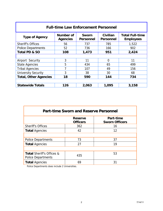| <b>Full-time Law Enforcement Personnel</b> |                              |                           |                              |                                            |  |  |  |
|--------------------------------------------|------------------------------|---------------------------|------------------------------|--------------------------------------------|--|--|--|
| <b>Type of Agency</b>                      | Number of<br><b>Agencies</b> | Sworn<br><b>Personnel</b> | Civilian<br><b>Personnel</b> | <b>Total Full-time</b><br><b>Employees</b> |  |  |  |
| <b>Sheriff's Offices</b>                   | 56                           | 737                       | 785                          | 1,522                                      |  |  |  |
| <b>Police Departments</b>                  | 52                           | 736                       | 166                          | 902                                        |  |  |  |
| Total PD & SO                              | 108                          | 1,473                     | 951                          | 2,424                                      |  |  |  |
|                                            |                              |                           |                              |                                            |  |  |  |
| Airport Security                           | 3                            | 11                        | 0                            | 11                                         |  |  |  |
| <b>State Agencies</b>                      | 5                            | 434                       | 65                           | 499                                        |  |  |  |
| <b>Tribal Agencies</b>                     | 7                            | 107                       | 49                           | 156                                        |  |  |  |
| <b>University Security</b>                 | 3                            | 38                        | 30                           | 68                                         |  |  |  |
| <b>Total, Other Agencies</b>               | 18                           | 590                       | 144                          | 734                                        |  |  |  |
|                                            |                              |                           |                              |                                            |  |  |  |
| <b>Statewide Totals</b>                    | 126                          | 2,063                     | 1,095                        | 3,158                                      |  |  |  |

| <b>Part-time Sworn and Reserve Personnel</b>                      |                                   |                                    |  |  |  |  |  |
|-------------------------------------------------------------------|-----------------------------------|------------------------------------|--|--|--|--|--|
|                                                                   | <b>Reserve</b><br><b>Officers</b> | Part-time<br><b>Sworn Officers</b> |  |  |  |  |  |
| <b>Sheriff's Offices</b>                                          | 362                               | 16                                 |  |  |  |  |  |
| <b>Total Agencies</b>                                             | 42                                | 12                                 |  |  |  |  |  |
|                                                                   |                                   |                                    |  |  |  |  |  |
| <b>Police Departments</b>                                         | 73                                | 37                                 |  |  |  |  |  |
| <b>Total Agencies</b>                                             | 27                                | 19                                 |  |  |  |  |  |
|                                                                   |                                   |                                    |  |  |  |  |  |
| <b>Total Sheriff's Offices &amp;</b><br><b>Police Departments</b> | 435                               | 53                                 |  |  |  |  |  |
| <b>Total Agencies</b>                                             | 69                                | 31                                 |  |  |  |  |  |

Police Departments does include 2 Universities.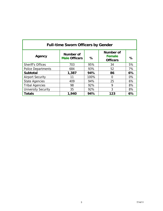| <b>Full-time Sworn Officers by Gender</b> |                                   |      |                                                      |    |  |  |  |
|-------------------------------------------|-----------------------------------|------|------------------------------------------------------|----|--|--|--|
| Agency                                    | Number of<br><b>Male Officers</b> | %    | <b>Number of</b><br><b>Female</b><br><b>Officers</b> | %  |  |  |  |
| <b>Sheriff's Offices</b>                  | 703                               | 95%  | 34                                                   | 5% |  |  |  |
| <b>Police Departments</b>                 | 684                               | 93%  | 52                                                   | 7% |  |  |  |
| <b>Subtotal</b>                           | 1,387                             | 94%  | 86                                                   | 6% |  |  |  |
| <b>Airport Security</b>                   | 11                                | 100% | 0                                                    | 0% |  |  |  |
| <b>State Agencies</b>                     | 409                               | 94%  | 25                                                   | 6% |  |  |  |
| <b>Tribal Agencies</b>                    | 98                                | 92%  | 9                                                    | 8% |  |  |  |
| <b>University Security</b>                | 35                                | 92%  | 3                                                    | 8% |  |  |  |
| <b>Totals</b>                             | 1,940                             | 94%  | 123                                                  | 6% |  |  |  |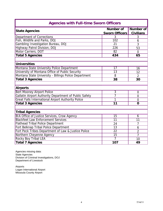| <b>Agencies with Full-time Sworn Officers</b>             |                       |                  |  |  |  |  |
|-----------------------------------------------------------|-----------------------|------------------|--|--|--|--|
| <b>State Agencies</b>                                     | <b>Number of</b>      | <b>Number of</b> |  |  |  |  |
|                                                           | <b>Sworn Officers</b> | <b>Civilians</b> |  |  |  |  |
| Department of Corrections                                 | 3                     | 3                |  |  |  |  |
| Fish, Wildlife and Parks, DOJ                             | $\overline{102}$      | 6                |  |  |  |  |
| Gambling Investigation Bureau, DOJ                        | $\overline{21}$       | 3                |  |  |  |  |
| Highway Patrol Division, DOJ                              | 226                   | 53               |  |  |  |  |
| Motor Carriers, DOT                                       | $\overline{82}$       | $\overline{0}$   |  |  |  |  |
| <b>Total 5 Agencies</b>                                   | 434                   | 65               |  |  |  |  |
|                                                           |                       |                  |  |  |  |  |
| <b>Universities</b>                                       |                       |                  |  |  |  |  |
| Montana State University Police Department                | 17                    | 16               |  |  |  |  |
| University of Montana Office of Public Security           | 13                    | 12               |  |  |  |  |
| Montana State University - Billings Police Department     | 8                     | $\overline{2}$   |  |  |  |  |
| <b>Total 3 Agencies</b>                                   | 38                    | 30               |  |  |  |  |
|                                                           |                       |                  |  |  |  |  |
| <b>Airports</b>                                           |                       |                  |  |  |  |  |
| <b>Bert Mooney Airport Police</b>                         | $\overline{3}$        | $\overline{0}$   |  |  |  |  |
| Gallatin Airport Authority Department of Public Safety    | 7                     | $\overline{0}$   |  |  |  |  |
| <b>Great Falls International Airport Authority Police</b> | 1                     | $\overline{0}$   |  |  |  |  |
| <b>Total 3 Agencies</b>                                   | 11                    | $\mathbf 0$      |  |  |  |  |
|                                                           |                       |                  |  |  |  |  |
| <b>Tribal Agencies</b>                                    |                       |                  |  |  |  |  |
| <b>BIA Office of Justice Services, Crow Agency</b>        | $\overline{15}$       | 6                |  |  |  |  |
| <b>Blackfeet Law Enforcement Services</b>                 | 11                    | 11               |  |  |  |  |
| <b>Flathead Tribal Police Department</b>                  | 24                    | $\overline{7}$   |  |  |  |  |
| Fort Belknap Tribal Police Department                     | 13                    | 6                |  |  |  |  |
| Fort Peck Tribes Department of Law & Justice Police       | $\overline{22}$       | $\overline{2}$   |  |  |  |  |
| Northern Cheyenne Agency                                  | 15                    | $\overline{7}$   |  |  |  |  |
| <b>Rocky Boy Tribal LEA</b>                               | 7                     | 10               |  |  |  |  |
| <b>Total 7 Agencies</b>                                   | $\overline{107}$      | 49               |  |  |  |  |

Agencies missing data: State Agencies Division of Criminal Investigations, DOJ Department of Livestock

Airports Logan International Airport Missoula County Airport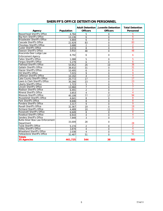| Agency                                  | Population | <b>Adult Detention</b><br><b>Officers</b> | <b>Juvenile Detention</b><br><b>Officers</b> | <b>Total Detention</b><br>Personnel |
|-----------------------------------------|------------|-------------------------------------------|----------------------------------------------|-------------------------------------|
| <b>Beaverhead Sheriff's Office</b>      | 4,764      | 5                                         | 0                                            | 5                                   |
| <b>Big Horn Sheriff's Office</b>        | 13,136     | 6                                         | 0                                            | 6                                   |
| <b>Broadwater Sheriff's Office</b>      | 4,869      | 6                                         | $\Omega$                                     | 6                                   |
| Cascade Sheriff's Office                | 22,929     | 83                                        | $\mathbf 0$                                  | 83                                  |
| Chouteau Sheriff's Office               | 3,688      | $\overline{2}$                            | $\Omega$                                     | $\overline{2}$                      |
| <b>Custer Sheriff's Office</b>          | 3.074      | 8                                         | 0                                            | 8                                   |
| Dawson Sheriff's Office                 | 3,932      | 48                                        | 0                                            | 48                                  |
| Anaconda-Deer Lodge Law                 |            |                                           |                                              |                                     |
| <b>Enforcement Agency</b>               | 8,792      | 6                                         | $\mathbf 0$                                  | 6                                   |
| <b>Fallon Sheriff's Office</b>          | 1,088      | 5                                         | $\Omega$                                     | 5                                   |
| <b>Fergus Sheriff's Office</b>          | 5,279      | 6                                         | 0                                            | 6                                   |
| <b>Flathead Sheriff's Office</b>        | 54,952     | 26                                        | 10                                           | 36                                  |
| <b>Gallatin Sheriff's Office</b>        | 38,832     | 31                                        | 0                                            | 31                                  |
| <b>Glacier Sheriff's Office</b>         | 10.495     | 6                                         | $\Omega$                                     | 6                                   |
| <b>Hill Sheriff's Office</b>            | 7,015      | 9                                         | $\Omega$                                     | 9                                   |
| Jefferson Sheriff's Office              | 10,192     | $\overline{4}$                            | $\overline{0}$                               | 4                                   |
| Lake County Sheriff's Office            | 20,772     | 17                                        | 0                                            | 17                                  |
| Lewis & Clark Sheriff's Office          | 30,266     | 23                                        | $\mathbf 0$                                  | 23                                  |
| <b>Liberty Sheriff's Office</b>         | 1,723      | 5                                         | $\mathbf 0$                                  | 5                                   |
| Lincoln Sheriff's Office                | 13,960     | 7                                         | 0                                            | 7                                   |
| Madison Sheriff's Office                | 6.491      | $\overline{2}$                            | $\Omega$                                     | $\overline{2}$                      |
| Mineral Sheriff's Office                | 3,853      | 4                                         | $\mathbf 0$                                  | $\overline{4}$                      |
| Missoula Sheriff's Office               | 40,108     | 77                                        | 17                                           | 94                                  |
| Musselshell Sheriff's Office            | 4.641      | 8                                         | $\Omega$                                     | 8                                   |
| Park Sheriff's Office                   | 8.606      | 8                                         | 0                                            | 8                                   |
| Pondera Sheriff's Office                | 3,317      | 9                                         | 0                                            | 9                                   |
| Ravalli Sheriff's Office                | 32,367     | 19                                        | 0                                            | 19                                  |
| <b>Richland Sheriff's Office</b>        | 4,489      | 10                                        | 11                                           | $\overline{21}$                     |
| Roosevelt Sheriff's Office              | 6,649      | 8                                         | $\mathbf 0$                                  | 8                                   |
| Rosebud Sheriff's Office                | 6,910      | 4                                         | 0                                            | $\overline{4}$                      |
| Sanders Sheriff's Office                | 7.949      | 3                                         | 0                                            | 3                                   |
| <b>Butte-Silver Bow Law Enforcement</b> | 33,009     | 28                                        | $\Omega$                                     |                                     |
| Department                              |            |                                           |                                              | 28                                  |
| Toole Sheriff's Office                  | 5.174      | 2                                         | 0                                            | $\overline{2}$                      |
| <b>Valley Sheriff's Office</b>          | 3,879      | 4                                         | $\Omega$                                     | $\overline{4}$                      |
| <b>Wheatland Sheriff's Office</b>       | 2,038      | 4                                         | $\mathbf 0$                                  | 4                                   |
| <b>Yellowstone Sheriff's Office</b>     | 32,487     | 51                                        | $\overline{0}$                               | 51                                  |
| <b>Totals</b><br><b>35 Agencies</b>     | 461,725    | 544                                       | 38                                           | 582                                 |

#### **SHERIFF'S OFFICE DETENTION PERSONNEL**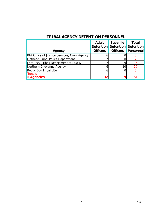| Agency                                             | <b>Adult</b><br><b>Officers</b> | <b>Juvenile</b><br><b>Detention Detention</b><br><b>Officers</b> | Total<br><b>Detention</b><br><b>Personnel</b> |
|----------------------------------------------------|---------------------------------|------------------------------------------------------------------|-----------------------------------------------|
| <b>BIA Office of Justice Services, Crow Agency</b> |                                 |                                                                  |                                               |
| <b>Flathead Tribal Police Department</b>           |                                 |                                                                  |                                               |
| Fort Peck Tribes Department of Law &               |                                 |                                                                  |                                               |
| Northern Cheyenne Agency                           |                                 | 101                                                              |                                               |
| <b>Rocky Boy Tribal LEA</b>                        |                                 |                                                                  |                                               |
| <b>Totals</b><br><b>5 Agencies</b>                 | 32                              | 19                                                               | 51                                            |

## **TRIBAL AGENCY DETENTION PERSONNEL**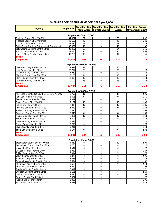#### **SHERIFF'S OFFICE FULL-TIME OFFICERS per 1,000**

| <b>Agency</b>                                                         | <b>Population</b> | <b>Male Sworn</b>             | <b>Female Sworn</b> | Total Full-time   Total Full-time   Total Full-time  <br><b>Sworn</b> | <b>Full-time Sworn</b><br>Officers per 1,000 |  |  |
|-----------------------------------------------------------------------|-------------------|-------------------------------|---------------------|-----------------------------------------------------------------------|----------------------------------------------|--|--|
|                                                                       |                   |                               |                     |                                                                       |                                              |  |  |
|                                                                       |                   | Population Over 25,000        |                     |                                                                       |                                              |  |  |
| Flathead County Sheriff's Office                                      | 54,952            | 51                            | $\overline{2}$      | 53                                                                    | 0.96                                         |  |  |
| Missoula County Sheriff's Office                                      | 40,108            | 47                            | $\mathbf{1}$        | 48                                                                    | 1.20                                         |  |  |
| Gallatin County Sheriff's Office                                      | 38,832            | 43                            | 5                   | 48                                                                    | 1.24                                         |  |  |
| Butte-Silver Bow Law Enforcement Department                           | 33,009<br>32,487  | 43<br>50                      | 6<br>4              | 49<br>54                                                              | 1.48<br>1.66                                 |  |  |
| Yellowstone County Sheriff's Office<br>Ravalli County Sheriffs Office | 32,367            | 30                            | $\mathbf 0$         | 30                                                                    | 0.93                                         |  |  |
| Lewis & Clark County Sheriff's Office                                 | 30,266            | 43                            | $\mathbf{1}$        | 44                                                                    | 1.45                                         |  |  |
| <b>Totals</b>                                                         |                   |                               |                     |                                                                       |                                              |  |  |
| <b>7 Agencies</b>                                                     | 262,021           | 307                           | 19                  | 326                                                                   | 1.24                                         |  |  |
|                                                                       |                   | Population 10,000 - 24,999    |                     |                                                                       |                                              |  |  |
| Cascade County Sheriff's Office                                       | 22,929            | 29                            | 3                   | 32                                                                    | 1.40                                         |  |  |
| Lake County Sheriff's Office                                          | 20,772            | 23                            | $\sqrt{2}$          | 25                                                                    | 1.20                                         |  |  |
| Lincoln County Sheriff's Office                                       | 13,960            | 20                            | $\mathbf 0$         | 20                                                                    | 1.43                                         |  |  |
| Big Horn County Sheriff's Office                                      | 13,136            | 14                            | $\mathbf{1}$        | 15                                                                    | 1.14                                         |  |  |
| <b>Glacier County Sheriff's Office</b>                                | 10,495            | 12                            | $\mathbf 0$         | 12                                                                    | 1.14                                         |  |  |
| Jefferson County Sheriff's Office                                     | 10,192            | $\overline{13}$               | $\mathbf 0$         | 13                                                                    | 1.28                                         |  |  |
| <b>Totals</b>                                                         |                   |                               |                     |                                                                       |                                              |  |  |
| <b>6 Agencies</b>                                                     | 91,484            | 111                           | 6                   | 117                                                                   | 1.28                                         |  |  |
|                                                                       |                   | Population 5,000 - 9,999      |                     |                                                                       |                                              |  |  |
| Anaconda-Deer Lodge Law Enforcement Agency                            | 8,792             | 17                            | $\mathbf{1}$        | 18                                                                    | 2.05                                         |  |  |
| Park County Sheriff's Office                                          | 8,606             | 12                            | $\mathbf 1$         | 13                                                                    | 1.51                                         |  |  |
| Sanders County Sheriff's Office                                       | 7,949             | 8                             | $\mathbf 0$         | 8                                                                     | 1.01                                         |  |  |
| Powell County Sheriff's Office                                        | 7,127             | 10                            | $\mathbf 0$         | 10                                                                    | 1.40                                         |  |  |
| Hill County Sheriff's Office                                          | 7,015             | 12                            | $\mathbf 1$         | 13                                                                    | 1.85                                         |  |  |
| Rosebud County Sheriff's Office                                       | 6,910             | 13                            | $\mathbf 0$         | 13                                                                    | 1.88                                         |  |  |
| Stillwater County Sheriff's Office                                    | 6,825             | $\overline{7}$                | $\mathbf 0$         | $\overline{7}$                                                        | 1.03                                         |  |  |
| Roosevelt County Sheriff's Office                                     | 6,649             | 11                            | 0                   | 11                                                                    | 1.65                                         |  |  |
| Madison County Sheriff's Office                                       | 6,491             | 10                            | 0                   | 10                                                                    | 1.54                                         |  |  |
| Teton County Sheriff's Office                                         | 6,094             | 9                             | $\mathbf 0$         | 9                                                                     | 1.48                                         |  |  |
| Carbon County Sheriff's Office                                        | 5,479             | 8                             | $\mathbf 0$         | 8                                                                     | 1.46                                         |  |  |
| Fergus County Sheriff's Office                                        | 5,279             | 8                             | $\mathbf 1$         | 9                                                                     | 1.70                                         |  |  |
| <b>Blaine County Sheriff's Office</b>                                 | 5,211             | 8                             | $\mathbf 0$         | 8                                                                     | 1.54                                         |  |  |
| Toole County Sheriff's Office                                         | 5,174             | 11                            | $\mathbf 1$         | 12                                                                    | 2.32                                         |  |  |
| <b>Totals</b>                                                         |                   |                               |                     |                                                                       |                                              |  |  |
| <b>14 Agencies</b>                                                    | 93,601            | 144                           | 5                   | 149                                                                   | 1.59                                         |  |  |
|                                                                       |                   | <b>Population Under 5,000</b> |                     |                                                                       |                                              |  |  |
| Broadwater County Sheriff's Office                                    | 4,869             | 9                             | 1                   | 10                                                                    | 2.05                                         |  |  |
| Beaverhead County Sheriff's Office                                    | 4,764             | 6                             | 0                   | 6                                                                     | 1.26                                         |  |  |
| Musselshell Sheriff's Office                                          | 4,641             | 8                             | $\mathbf 0$         | $\overline{8}$                                                        | 1.72                                         |  |  |
| Dawson County Sheriff's Office                                        | 3,932             | $\overline{4}$                | 1                   | 5                                                                     | 1.27                                         |  |  |
| Phillips County Sheriff's Office                                      | 3,914             | $\overline{7}$                | 0                   | 7                                                                     | 1.79                                         |  |  |
| Valley County Sheriff's Office                                        | 3,879             | 8                             | 0                   | $\, 8$                                                                | 2.06                                         |  |  |
| Mineral County Sheriff's Office                                       | 3,853             | 6                             | $\pmb{0}$           | 6                                                                     | 1.56                                         |  |  |
| Sweet Grass County Sheriff's Office                                   | 3,694             | 6                             | 0                   | 6                                                                     | 1.62                                         |  |  |
| Chouteau County Sheriffs Office                                       | 3,688             | 9                             | 0                   | 9                                                                     | 2.44                                         |  |  |
| <b>Richland County Sheriff's Office</b>                               | 3,649             | $\overline{7}$                | 0                   | 7                                                                     | 1.92                                         |  |  |
| Pondera County Sheriff's Office                                       | 3,317             | 9                             | 0                   | 9                                                                     | 2.71                                         |  |  |
| Sheridan County Sheriff's Office                                      | 3,191             | $\overline{7}$                | 0                   | $\overline{7}$                                                        | 2.19                                         |  |  |
| Custer County Sheriff's Office                                        | 3,074             | 6                             | 0                   | 6                                                                     | 1.95                                         |  |  |
| Granite County Sheriff's Office                                       | 2,902             | 5                             | $\pmb{0}$           | 5                                                                     | 1.72                                         |  |  |
| Judith Basin County Sheriff                                           | 2,038             | $\overline{4}$                | $\boldsymbol{0}$    | 4                                                                     | 1.96                                         |  |  |
| Wheatland County Sheriff's Office                                     | 2,038             | $\overline{4}$                | 1                   | 5                                                                     | 2.45                                         |  |  |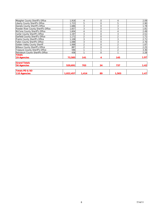| Meagher County Sheriff's Office         | 1,918     | 4              | $\mathbf 0$ | 4              | 2.09 |
|-----------------------------------------|-----------|----------------|-------------|----------------|------|
| Liberty County Sheriff's Office         | 1.723     | 5              | $\mathbf 0$ | 5              | 2.90 |
| Daniels County Sheriff's Office         | 1.686     | 3              | $\mathbf 0$ | 3              | 1.78 |
| Powder River County Sheriff's Office    | 1,657     | 3              | $\mathbf 0$ | 3              | 1.81 |
| McCone County Sheriff's Office          | 1,604     |                | $\mathbf 0$ | 4              | 2.49 |
| Carter County Sheriff's Office          | 1.197     | 3              | $\mathbf 0$ | 3              | 2.51 |
| Garfield County Sheriff's Office        | 1,172     | $\overline{2}$ | $\mathbf 0$ | 2              | 1.71 |
| Prairie County Sheriff's Office         | 1,108     | 3              | $\mathbf 0$ | 3              | 2.71 |
| Fallon County Sheriff's Office          | 1,088     | 3              | $\mathbf 0$ | 3              | 2.76 |
| <b>Golden Valley County Sheriff</b>     | 1.068     | $\overline{2}$ | $\mathbf 0$ | 2              | 1.87 |
| Wibaux County Sheriff's Office          | 887       | $\overline{2}$ | $\Omega$    | $\overline{2}$ | 2.25 |
| <b>Treasure County Sheriff's Office</b> | 596       |                |             | $\overline{2}$ | 3.36 |
| Petroleum County Sheriff's Office       | 438       |                | $\cap$      |                | 2.28 |
| <b>Totals</b>                           |           |                |             |                |      |
| <b>29 Agencies</b>                      | 73,585    | 141            | 4           | 145            | 1.97 |
| <b>Grand Totals</b>                     |           |                |             |                |      |
| <b>56 Agencies</b>                      | 520.691   | 703            | 34          | 737            | 1.42 |
|                                         |           |                |             |                |      |
| <b>Totals PD &amp; SO</b>               |           |                |             |                |      |
| 110 Agencies                            | 1,022,457 | 1,414          | 89          | 1,503          | 1.47 |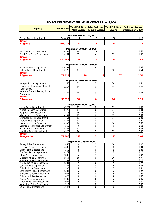#### **POLICE DEPARTMENT FULL-TIME OFFICERS per 1,000**

|                                                                 |                   |                                | Total Full-time   Total Full-time   Total Full-time |                     | <b>Full-time Sworn</b> |  |  |
|-----------------------------------------------------------------|-------------------|--------------------------------|-----------------------------------------------------|---------------------|------------------------|--|--|
| <b>Agency</b>                                                   | <b>Population</b> | <b>Male Sworn</b>              | <b>Female Sworn</b>                                 | <b>Sworn</b>        | Officers per 1,000     |  |  |
|                                                                 |                   |                                |                                                     |                     |                        |  |  |
|                                                                 |                   | Population Over 100,000        |                                                     |                     |                        |  |  |
| <b>Billings Police Department</b>                               | 108,039           | 111                            | 13                                                  | 124                 | 1.15                   |  |  |
| <b>Totals</b><br>1 Agency                                       | 108,039           | 111                            | 13                                                  | 124                 | 1.15                   |  |  |
|                                                                 |                   |                                |                                                     |                     |                        |  |  |
|                                                                 |                   | Population 50,000 - 99,999     |                                                     |                     |                        |  |  |
| Missoula Police Department                                      | 70,559            | 88                             | 12                                                  | 100                 | 1.42                   |  |  |
| <b>Great Falls Police Department</b>                            | 59,984            | 81                             | $\overline{4}$                                      | 85                  | 1.42                   |  |  |
| <b>Totals</b>                                                   |                   |                                |                                                     |                     |                        |  |  |
| 2 Agencies                                                      | 130,543           | 169                            | 16                                                  | 185                 | 1.42                   |  |  |
|                                                                 |                   |                                |                                                     |                     |                        |  |  |
|                                                                 |                   | Population 25,000 - 49,999     |                                                     |                     |                        |  |  |
| <b>Bozeman Police Department</b>                                | 40,892            | 51                             | 6                                                   | 57                  | 1.39                   |  |  |
| Helena Police Department<br><b>Totals</b>                       | 30,520            | 47                             | 3                                                   | 50                  | 1.64                   |  |  |
| 2 Agencies                                                      | 71,412            | 98                             | 9                                                   | 107                 | 1.50                   |  |  |
|                                                                 |                   |                                |                                                     |                     |                        |  |  |
|                                                                 |                   | Population 10,000 - 24,999     |                                                     |                     |                        |  |  |
| Kalispell Police Department                                     | 22,568            | 31                             | 3                                                   | 34                  | 1.51                   |  |  |
| University of Montana Office of                                 |                   | 13                             | $\mathbf 0$                                         | 13                  | 0.77                   |  |  |
| <b>Public Safety</b>                                            | 16,800            |                                |                                                     |                     |                        |  |  |
| Montana State University Police                                 | 16,242            | 14                             | 3                                                   | 17                  | 1.05                   |  |  |
| Department                                                      |                   |                                |                                                     |                     |                        |  |  |
| <b>Totals</b>                                                   |                   |                                |                                                     |                     |                        |  |  |
| 3 Agencies                                                      | 55,610            | 58                             | 6                                                   | 64                  | 1.15                   |  |  |
|                                                                 |                   |                                |                                                     |                     |                        |  |  |
| Havre Police Department                                         | 9,726             | Population 5,000 - 9,999<br>19 | $\mathbf 0$                                         | 19                  | 1.95                   |  |  |
| Whitefish Police Department                                     | 8,776             | 17                             | $\mathbf 0$                                         | 17                  | 1.94                   |  |  |
| Belgrade Police Department                                      | 8,518             | 15                             | $\pmb{0}$                                           | 15                  | 1.76                   |  |  |
| Miles City Police Department                                    | 8,141             | 17                             | $\mathbf 0$                                         | $\overline{17}$     | 2.09                   |  |  |
| Livingston Police Department                                    | 7,461             | 13                             | 1                                                   | 14                  | 1.88                   |  |  |
| Laurel Police Department                                        | 6,841             | 13                             | $\mathbf 0$                                         | 13                  | 1.90                   |  |  |
| Lewistown Police Department                                     | 5,936             | 14                             | $\mathbf 0$                                         | 14                  | 2.36                   |  |  |
| Columbia Falls Police Department                                | 5,569             | 9                              | $\mathbf 0$                                         | 9                   | 1.62                   |  |  |
| Polson Police Department                                        | 5,383             | $\overline{11}$                | 1                                                   | 12                  | 2.23                   |  |  |
| Hamilton Police Department                                      | 5,129             | 14                             | $\mathbf{1}$                                        | 15                  | 2.92                   |  |  |
| <b>Totals</b>                                                   |                   |                                |                                                     |                     |                        |  |  |
| <b>10 Agencies</b>                                              | 71,480            | 142                            | 3                                                   | 145                 | 2.03                   |  |  |
|                                                                 |                   | Population Under 5,000         |                                                     |                     |                        |  |  |
| Sidney Police Department                                        | 4,855             | $\overline{9}$                 | 1                                                   | 10                  | 2.06                   |  |  |
| <b>Glendive Police Department</b>                               | 4,635             | 8                              | $\mathbf{1}$                                        | 9                   | 1.94                   |  |  |
| <b>Dillon Police Department</b>                                 | 4,250             | 8                              | 0                                                   | 8                   | 1.88                   |  |  |
| Cut Bank Police Department                                      | 3,179             | $\overline{7}$                 | $\pmb{0}$                                           | 7                   | 2.20                   |  |  |
| Libby Police Department                                         | 2,898             | $\overline{5}$                 | $\mathbf{1}$                                        | $6\overline{6}$     | 2.07                   |  |  |
| <b>Glasgow Police Department</b>                                | 2,854             | 10                             | $\pmb{0}$                                           | 10                  | 3.50                   |  |  |
| Wolf Point Police Department                                    | 2,562             | 6                              | $\overline{2}$                                      | 8                   | 3.12                   |  |  |
| Red Lodge Police Department                                     | 2,531             | $\overline{7}$                 | $\pmb{0}$                                           | $\overline{7}$      | 2.77                   |  |  |
| <b>Conrad Police Department</b>                                 | 2,481             | $\mathbf 5$                    | $\mathbf 0$<br>1                                    | 5                   | 2.02                   |  |  |
| <b>Colstrip Police Department</b>                               | 2,395             | 5                              |                                                     | $\overline{6}$      | 2.51                   |  |  |
| East Helena Police Department<br>Stevensville Police Department | 2,204<br>2,087    | 5<br>$\overline{2}$            | $\pmb{0}$<br>$\pmb{0}$                              | 5<br>$\overline{2}$ | 2.27<br>0.96           |  |  |
| <b>Columbus Police Department</b>                               | 2,078             | 4                              | $\pmb{0}$                                           | $\overline{4}$      | 1.92                   |  |  |
| Ronan Police Department                                         | 2,030             | 5                              | $\pmb{0}$                                           | 5                   | 2.46                   |  |  |
| Three Forks Police Department                                   | 2,004             | $\overline{2}$                 | $\mathbf 0$                                         | $\overline{2}$      | 1.00                   |  |  |
| Manhattan Police Department                                     | 1,712             | $\mathbf{1}$                   | $\pmb{0}$                                           | $\mathbf{1}$        | 0.58                   |  |  |
| <b>Baker Police Department</b>                                  | 1,647             | 3                              | $\mathbf 0$                                         | 3                   | 1.82                   |  |  |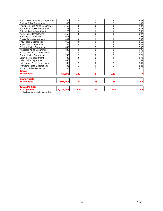| West Yellowstone Police Department                           | 1,549     | 5              | $\Omega$    | 5              | 3.23 |
|--------------------------------------------------------------|-----------|----------------|-------------|----------------|------|
| <b>Boulder Police Department</b>                             | 1,503     |                |             | $\overline{2}$ | 1.33 |
| Thompson Falls Police Department                             | 1,450     | 3              | $\Omega$    | 3              | 2.07 |
| Fort Benton Police Department                                | 1,438     | 4              | $\Omega$    | 4              | 2.78 |
| <b>Chinook Police Department</b>                             | 1,270     | 3              | $\Omega$    | 3              | 2.36 |
| Plains Police Department                                     | 1,268     | 3              | 0           | 3              | 2.37 |
| <b>Ennis Police Department</b>                               | 1,077     |                | $\mathbf 0$ | 1              | 0.93 |
| Eureka Police Department                                     | .002      | 3              | $\Omega$    | 3              | 2.99 |
| <b>Troy Police Department</b>                                | 969       | 3              | 0           | 3              | 3.10 |
| Poplar Police Department                                     | 886       | 3              | $\Omega$    | $\overline{3}$ | 3.39 |
| <b>Fairview Police Department</b>                            | 840       |                |             | $\overline{2}$ | 2.38 |
| Pinesdale Police Department                                  | 832       | 0              | $\Omega$    | $\mathbf 0$    | 0.00 |
| St. Ignatius Police Department                               | 814       | $\overline{2}$ | $\Omega$    | $\overline{2}$ | 2.46 |
| <b>Bridger Police Department</b>                             | 740       | $\overline{2}$ | $\Omega$    | $\overline{2}$ | 2.70 |
| Darby Police Department                                      | 720       | $\overline{2}$ | $\Omega$    | $\overline{2}$ | 2.78 |
| Joliet Police Department                                     | 650       |                | $\Omega$    | 1              | 1.54 |
| Hot Springs Police Department                                | 590       | $\overline{2}$ | $\Omega$    | $\overline{2}$ | 3.39 |
| Fromberg Police Department                                   | 438       |                | $\Omega$    | 1              | 2.28 |
| <b>Brockton Police Department</b>                            | 244       | 1              | $\Omega$    | 1              | 4.10 |
| <b>Totals</b>                                                |           |                |             |                |      |
| <b>36 Agencies</b>                                           | 64,682    | 133            | 8           | 141            | 2.18 |
|                                                              |           |                |             |                |      |
| <b>Grand Totals</b>                                          |           |                |             |                |      |
| <b>54 Agencies</b>                                           | 501,766   | 711            | 55          | 766            | 1.53 |
|                                                              |           |                |             |                |      |
| <b>Totals PD &amp; SO</b>                                    |           |                |             |                |      |
| 110 Agencies<br>*Police Departments includes 2 Universities. | 1,022,457 | 1,414          | 89          | 1,503          | 1.47 |
|                                                              |           |                |             |                |      |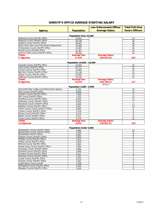#### **SHERIFF'S OFFICE AVERAGE STARTING SALARY**

|                                                                                  |                            | <b>Law Enforcement Officer</b> | <b>Total Full-time</b> |
|----------------------------------------------------------------------------------|----------------------------|--------------------------------|------------------------|
| <b>Agency</b>                                                                    | <b>Population</b>          | <b>Average Salary</b>          | <b>Sworn Officers</b>  |
| Population Over 25,000                                                           |                            |                                |                        |
| <b>Flathead County Sheriff's Office</b>                                          | 54,952                     |                                | 53                     |
| Missoula County Sheriff's Office                                                 | 40,108                     |                                | 48                     |
| <b>Gallatin County Sheriff's Office</b>                                          | 38,832                     |                                | 48                     |
| Butte-Silver Bow Law Enforcement Department                                      | 33,009                     |                                | 49                     |
| Yellowstone County Sheriff's Office                                              | 32,487                     |                                | 54                     |
| Ravalli County Sheriffs Office                                                   | 32,367                     |                                | 30                     |
| Lewis & Clark County Sheriff's Office                                            | 30,266                     |                                | 44                     |
| <b>Totals</b>                                                                    | <b>Average Size</b>        | <b>Average Salary</b>          |                        |
| <b>7 Agencies</b>                                                                | 37,432                     | \$44,491.54                    | 326                    |
|                                                                                  | Population 10,000 - 24,999 |                                |                        |
| Cascade County Sheriff's Office                                                  | 22,929                     |                                | 32                     |
| Lake County Sheriff's Office                                                     | 20,772                     |                                | 25                     |
| <b>Lincoln County Sheriff's Office</b>                                           | 13,960                     |                                | 20                     |
| <b>Big Horn County Sheriff's Office</b>                                          | 13,136                     |                                | 15                     |
| <b>Glacier County Sheriff's Office</b>                                           | 10,495                     |                                | 12                     |
| Jefferson County Sheriff's Office                                                | 10,192                     |                                | 13                     |
| <b>Totals</b>                                                                    | <b>Average Size</b>        | <b>Average Salary</b>          |                        |
| <b>6 Agencies</b>                                                                | 15,247                     | \$38,786.22                    | 117                    |
|                                                                                  |                            | 38786.22                       |                        |
|                                                                                  | Population 5,000 - 9,999   |                                |                        |
| Anaconda-Deer Lodge Law Enforcement Agency                                       | 8,792                      |                                | 18                     |
| Park County Sheriff's Office                                                     | 8,606                      |                                | 13                     |
| Sanders County Sheriff's Office                                                  | 7,949                      |                                | 8                      |
| Hill County Sheriff's Office                                                     | 7,015                      |                                | 13                     |
| Rosebud County Sheriff's Office                                                  | 6,910                      |                                | 13                     |
| <b>Stillwater County Sheriff's Office</b>                                        | 6,825                      |                                | $\overline{7}$         |
| Roosevelt County Sheriff's Office                                                | 6,649                      |                                | 11                     |
| Madison County Sheriff's Office                                                  | 6,491                      |                                | 10                     |
| Teton County County Sheriff's Office                                             | 6,094                      |                                | 9                      |
| Carbon County Sheriff's Office                                                   | 5,479                      |                                | 8                      |
| Fergus County Sheriff's Office                                                   | 5,279                      |                                | 9                      |
| <b>Blaine County Sheriff's Office</b>                                            | 5,211                      |                                | 8                      |
| <b>Toole County Sheriff's Office</b>                                             | 5,174                      |                                | 12                     |
| <b>Totals</b>                                                                    | <b>Average Size</b>        | <b>Average Salary</b>          |                        |
| <b>13 Agencies</b>                                                               | 6,652                      | \$36,926.31                    | 139                    |
|                                                                                  | Population Under 5,000     |                                |                        |
| <b>Broadwater County Sheriff's Office</b>                                        | 4.869                      |                                | 10                     |
| <b>Beaverhead County Sheriff's Office</b><br><b>Musselshell Sheriff's Office</b> | 4.764                      |                                | 6                      |
| Dawson County Sheriff's Office                                                   | 4.641                      |                                | 8                      |
| Phillips County Sheriff's Office                                                 | 3,932<br>3,914             |                                | 5<br>7                 |
| Valley County Sheriff's Office                                                   | 3,879                      |                                | 8                      |
| Mineral County Sheriff's Office                                                  | 3,853                      |                                | 6                      |
| Sweet Grass County Sheriff's Office                                              |                            |                                |                        |
| Chouteau County Sheriffs Office                                                  | 3,694                      |                                | 6                      |
| Richland County Sheriff's Office                                                 | 3,688<br>3,649             |                                | 9<br>$\overline{7}$    |
| Pondera County Sheriff's Office                                                  | 3,317                      |                                | 9                      |
| Sheridan County Sheriff's Office                                                 | 3,191                      |                                | $\overline{7}$         |
| <b>Custer County Sheriff's Office</b>                                            | 3,074                      |                                | 6                      |
| <b>Granite County Sheriff's Office</b>                                           | 2,902                      |                                | 5                      |
| Judith Basin County Sheriff                                                      | 2,038                      |                                | 4                      |
| Wheatland County Sheriff's Office                                                | 2,038                      |                                | $5\overline{)}$        |
| Meagher County Sheriff's Office                                                  | 1,918                      |                                | 4                      |
|                                                                                  |                            |                                |                        |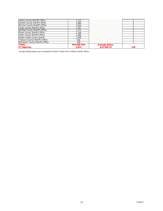| Liberty County Sheriff's Office       | 723                   |                               |  |
|---------------------------------------|-----------------------|-------------------------------|--|
| Daniels County Sheriff's Office       | .686                  |                               |  |
| McCone County Sheriff's Office        | .604                  |                               |  |
| <b>Carter County Sheriff's Office</b> | .197                  |                               |  |
| Garfield County Sheriff's Office      | .172                  |                               |  |
| Prarie County Sheriff's Office        | .108                  |                               |  |
| <b>Fallon County Sheriff's Office</b> | .088                  |                               |  |
| Golden Valley County Sheriff          | .068                  |                               |  |
| Treasure County Sheriff's Office      | 596                   |                               |  |
| Petroleum County Sheriff's Office     | 438                   |                               |  |
| <b>Totals</b>                         | Average Size<br>2.631 | Average Salary<br>\$32,346.79 |  |
|                                       |                       |                               |  |

Average Starting Salary was not available for Powell, Powder River & Wibaux Sheriff's Offices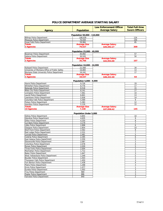#### **POLICE DEPARTMENT AVERAGE STARTING SALARY**

|                                               |                                 | <b>Law Enforcement Officer</b>       | <b>Total Full-time</b>  |
|-----------------------------------------------|---------------------------------|--------------------------------------|-------------------------|
| <b>Agency</b>                                 | <b>Population</b>               | <b>Average Salary</b>                | <b>Sworn Officers</b>   |
|                                               | Population 50,000 - 110,000     |                                      |                         |
| <b>Billings Police Department</b>             | 108,039                         |                                      | 124                     |
| Missoula Police Department                    | 70,559                          |                                      | 100                     |
| Great Falls Police Department                 | 59.984                          |                                      | 85                      |
| Totals                                        | <b>Average Size</b>             | <b>Average Salary</b>                |                         |
| <b>3 Agencies</b>                             | 79,527                          | \$45,592.27                          | 309                     |
|                                               | Population 25,000 - 49,999      |                                      |                         |
| Bozeman Police Department                     | 40,892                          |                                      | 57                      |
| Helena Police Department                      | 30,520                          |                                      | 50                      |
| <b>Totals</b>                                 | <b>Average Size</b>             | <b>Average Salary</b>                |                         |
| <b>3 Agencies</b>                             | 35,706                          | \$42,954.00                          | 107                     |
|                                               | Population 10,000 - 24,999      |                                      |                         |
| Kalispell Police Department                   | 22,568                          |                                      | 34                      |
| University of Montana Office of Public Safety | 16,800                          |                                      | 13                      |
| Montana State University Police Department    | 16,242                          |                                      | 17                      |
| <b>Totals</b>                                 | <b>Average Size</b>             | <b>Average Salary</b>                |                         |
| <b>3 Agencies</b>                             | 18,537                          | \$46,322.40                          | 64                      |
|                                               | Population 5,000 - 9,999        |                                      |                         |
| Havre Police Department                       | 9,726                           |                                      | 19                      |
| Whitefish Police Department                   | 8,776                           |                                      | 17                      |
| <b>Belgrade Police Department</b>             | 8,518                           |                                      | 15                      |
| Miles City Police Department                  | 8,141                           |                                      | 17                      |
| Livingston Police Department                  | 7,461                           |                                      | 14                      |
| Laurel Police Department                      | 6,841                           |                                      | 13                      |
| Lewistown Police Department                   | 5,936                           |                                      | 14                      |
| Columbia Falls Police Department              | 5,569                           |                                      | 9                       |
| Polson Police Department                      | 5,383                           |                                      | 12                      |
| Hamilton Police Department                    | 5,129                           |                                      | 15                      |
| Totals<br>10 Agencies                         | <b>Average Size</b><br>7,148    | <b>Average Salary</b><br>\$37,058.42 | 145                     |
|                                               |                                 |                                      |                         |
| <b>Sidney Police Department</b>               | Population Under 5,000<br>4,855 |                                      | 10                      |
| <b>Glendive Police Department</b>             | 4,635                           |                                      | 9                       |
| <b>Dillon Police Department</b>               | 4,250                           |                                      | 8                       |
| Cut Bank Police Department                    | 3,179                           |                                      | 7                       |
| Libby Police Department                       | 2,898                           |                                      | 6                       |
| <b>Glasgow Police Department</b>              | 2,854                           |                                      | 10                      |
| Wolf Point Police Department                  | 2,562                           |                                      | 8                       |
| Red Lodge Police Department                   | 2,531                           |                                      | 7                       |
| <b>Conrad Police Department</b>               | 2,481                           |                                      | 5                       |
| <b>Colstrip Police Department</b>             | 2,395                           |                                      | 6                       |
| East Helena Police Department                 | 2,204                           |                                      | 5                       |
| Stevensville Police Department                | 2,087                           |                                      | 2                       |
| <b>Columbus Police Department</b>             | 2,078                           |                                      | 4                       |
| Ronan Police Department                       | 2,030                           |                                      | 5                       |
| Three Forks Police Department                 | 2,004                           |                                      | $\overline{2}$          |
| Manhattan Police Department                   | 1,712                           |                                      | $\mathbf{1}$            |
| <b>Baker Police Department</b>                | 1,647                           |                                      | 3                       |
| West Yellowstone Police Department            | 1,549                           |                                      | 5                       |
| <b>Boulder Police Department</b>              | 1,503                           |                                      | $\overline{\mathbf{c}}$ |
| Thompson Falls Police Department              | 1,450                           |                                      | 3                       |
| Fort Benton Police Department                 | 1,438                           |                                      | 4                       |
| Plains Police Department                      | 1,268                           |                                      | 3                       |
| Ennis Police Department                       | 1,077                           |                                      | 1                       |
| Eureka Police Department                      | 1,002                           |                                      | 3                       |
| <b>Troy Police Department</b>                 | 969                             |                                      | 3                       |
| Poplar Police Department                      | 886                             |                                      | 3                       |
| <b>Fairview Police Department</b>             | 840                             |                                      | $\overline{2}$          |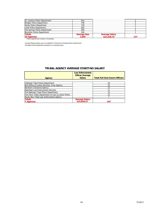| . Ignatius Police Department                |             |  |
|---------------------------------------------|-------------|--|
| <b>Police Department</b>                    |             |  |
| Police Department                           |             |  |
| Joliet Police Department                    |             |  |
| Hot Springs Police Department               |             |  |
| <b>Brockton Police Department</b>           |             |  |
|                                             |             |  |
|                                             | \$31,558.79 |  |
| *Police Departments include 2 Universities. |             |  |

Average Starting Salary was not available for Chinook & Fromberg Police Departments Pinesdale Police Department operates on a voluntary basis

#### **TRIBAL AGENCY AVERAGE STARTING SALARY**

|                                                     | <b>Law Enforcement</b><br><b>Officer Average</b> |                                       |
|-----------------------------------------------------|--------------------------------------------------|---------------------------------------|
| Agency                                              | <b>Salary</b>                                    | <b>Total Full-time Sworn Officers</b> |
|                                                     |                                                  |                                       |
| <b>Flathead Tribal Police Department</b>            |                                                  | 24                                    |
| BIA Office of Justice Services, Crow Agency         |                                                  | 15                                    |
| Northern Chevenne Agency                            |                                                  | 15                                    |
| <b>Blackfeet Law Enforcement Services</b>           |                                                  |                                       |
| Fort Belknap Tribal Police Department               |                                                  | 13                                    |
| Fort Peck Tribes Department of Law & Justice Police |                                                  | 22                                    |
| Rocky Boy Tribal Law Enforcement Agency             |                                                  |                                       |
| <b>Totals</b>                                       | <b>Average Salary</b>                            |                                       |
| <b>7 Agencies</b>                                   | \$33,828.57                                      |                                       |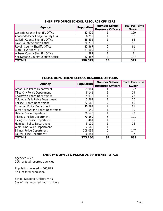| Agency                                  | Population | <b>Number School</b><br><b>Resource Officers</b> | <b>Total Full-time</b><br>Sworn |
|-----------------------------------------|------------|--------------------------------------------------|---------------------------------|
| Cascade County Sheriff's Office         | 22,929     |                                                  | 129                             |
| Anaconda-Deer Lodge County LEA          | 8,792      |                                                  | 18                              |
| <b>Gallatin County Sheriff's Office</b> | 38,832     |                                                  | 66                              |
| Lake County Sheriff's Office            | 20,772     |                                                  | 56                              |
| Ravalli County Sheriffs Office          | 32,367     |                                                  | 61                              |
| <b>Butte-Silver Bow LED</b>             | 33,009     |                                                  | 98                              |
| <b>Wibaux County Sheriff's Office</b>   | 887        |                                                  | 2                               |
| Yellowstone County Sheriff's Office     | 32,487     |                                                  | 147                             |
| <b>TOTALS</b>                           | 190,075    | 14                                               | 577                             |

#### **SHERIFF'S OFFICE SCHOOL RESOURCE OFFICERS**

#### **POLICE DEPARTMENT SCHOOL RESOURCE OFFICERS**

| Agency                               | Population | <b>Number School</b>     | <b>Total Full-time</b> |
|--------------------------------------|------------|--------------------------|------------------------|
|                                      |            | <b>Resource Officers</b> | <b>Sworn</b>           |
| <b>Great Falls Police Department</b> | 59,984     |                          | 122                    |
| Miles City Police Department         | 8,141      |                          | 19                     |
| Lewistown Police Department          | 5,936      |                          | 23                     |
| Columbia Falls Police Department     | 5,569      |                          | 10                     |
| Kalispell Police Department          | 22,568     | 2                        | 40                     |
| <b>Bozeman Police Department</b>     | 40,892     | 2                        | 61                     |
| West Yellowstone Police Department   | 1,549      |                          | 10                     |
| Helena Police Department             | 30,520     | 4                        | 73                     |
| Missoula Police Department           | 70,559     | 5                        | 121                    |
| Livingston Police Department         | 7,461      |                          | 15                     |
| Hamilton Police Department           | 5,129      |                          | 16                     |
| Wolf Point Police Department         | 2,562      |                          | 9                      |
| <b>Billings Police Department</b>    | 108,039    | 5                        | 147                    |
| Laurel Police Department             | 6,841      | 2                        | 17                     |
| <b>TOTALS</b>                        | 375,750    | 31                       | 683                    |

#### **SHERIFF'S OFFICE & POLICE DEPARTMENTS TOTALS**

Agencies = 22 20% of total reported agencies

Population covered = 565,825 57% of total population

School Resource Officers = 45 3% of total reported sworn officers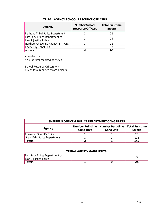| Agency                                                 | <b>Number School</b><br><b>Resource Officers</b> | <b>Total Full-time</b><br>Sworn |
|--------------------------------------------------------|--------------------------------------------------|---------------------------------|
| <b>Flathead Tribal Police Department</b>               |                                                  | 31                              |
| Fort Peck Tribes Department of<br>Law & Justice Police |                                                  | 24                              |
| Northern Cheyenne Agency, BIA-OJS                      |                                                  | 22                              |
| <b>Rocky Boy Tribal LEA</b>                            |                                                  | 17                              |
| <b>TOTALS</b>                                          |                                                  | 94                              |

#### **TRIBAL AGENCY SCHOOL RESOURCE OFFICERS**

Agencies  $= 4$ 57% of total reported agencies

School Resource Officers = 4 4% of total reported sworn officers

| SHERIFF'S OFFICE & POLICE DEPARTMENT GANG UNITS |                                                                                                                  |  |     |
|-------------------------------------------------|------------------------------------------------------------------------------------------------------------------|--|-----|
| Agency                                          | Number Full-time   Number Part-time  <br><b>Total Full-time</b><br><b>Gang Unit</b><br><b>Gang Unit</b><br>Sworn |  |     |
| Roosevelt Sheriff's Office                      |                                                                                                                  |  | 25  |
| Great Falls Police Department                   |                                                                                                                  |  | 122 |
| Totals                                          |                                                                                                                  |  | 147 |

#### **TRIBAL AGENCY GANG UNITS**

| Fort Peck Tribes Department of<br>Law & Justice Police |  |  |
|--------------------------------------------------------|--|--|
| 'Totals                                                |  |  |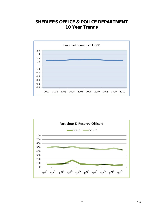# **SHERIFF'S OFFICE & POLICE DEPARTMENT 10 Year Trends**



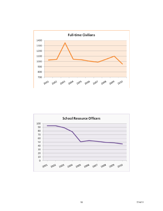

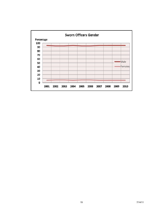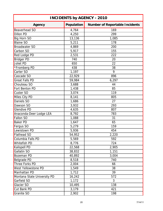| <b>INCIDENTS by AGENCY - 2010</b> |            |                                       |  |
|-----------------------------------|------------|---------------------------------------|--|
| <b>Agency</b>                     | Population | <b>Number of Reportable Incidents</b> |  |
| <b>Beaverhead SO</b>              | 4,764      | 169                                   |  |
| <b>Dillon PD</b>                  | 4,250      | 299                                   |  |
| Big Horn SO                       | 13,136     | 1,085                                 |  |
| <b>Blaine SO</b>                  | 5,211      | 178                                   |  |
| <b>Broadwater SO</b>              | 4,869      | 200                                   |  |
| Carbon SO                         | 5,917      | 155                                   |  |
| Red Lodge PD                      | 2,531      | 222                                   |  |
| <b>Bridger PD</b>                 | 740        | 20                                    |  |
| Joliet PD                         | 650        | 22                                    |  |
| *Fromberg PD                      | 438        | 38                                    |  |
| Carter SO                         | 1,197      | 9                                     |  |
| Cascade SO                        | 22,929     | 896                                   |  |
| <b>Great Falls PD</b>             | 59,984     | 6,297                                 |  |
| Chouteau SO                       | 3,688      | 44                                    |  |
| Fort Benton PD                    | 1,438      | 85                                    |  |
| <b>Custer SO</b>                  | 3,074      | 119                                   |  |
| Miles City PD                     | 8,141      | 805                                   |  |
| Daniels SO                        | 1,686      | 27                                    |  |
| Dawson SO                         | 3,932      | 293                                   |  |
| <b>Glendive PD</b>                | 4,635      | 807                                   |  |
| Anaconda-Deer Lodge LEA           | 8,792      | 783                                   |  |
| <b>Fallon SO</b>                  | 1,088      | 31                                    |  |
| Baker PD                          | 1,647      | 65                                    |  |
| Fergus SO                         | 5,279      | 159                                   |  |
| Lewistown PD                      | 5,936      | 454                                   |  |
| <b>Flathead SO</b>                | 54,952     | 2,220                                 |  |
| Columbia Falls PD                 | 5,569      | 592                                   |  |
| Whitefish PD                      | 8,776      | 724                                   |  |
| Kalispell PD                      | 22,568     | 2,905                                 |  |
| Gallatin SO                       | 38,832     | 1,151                                 |  |
| <b>Bozeman PD</b>                 | 40,892     | 3,004                                 |  |
| Belgrade PD                       | 8,518      | 740                                   |  |
| Three Forks PD                    | 2,004      | 66                                    |  |
| West Yellowstone PD               | 1,549      | 38                                    |  |
| Manhattan PD                      | 1,712      | 39                                    |  |
| Montana State University PD       | 16,242     | 572                                   |  |
| Garfield SO                       | 1,172      | 3                                     |  |
| Glacier SO                        | 10,495     | 138                                   |  |
| Cut Bank PD                       | 3,179      | 421                                   |  |
| Granite SO                        | 2,902      | 198                                   |  |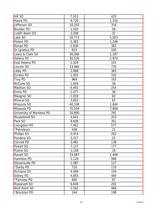| <b>Hill SO</b>           | 7,015  | 433   |
|--------------------------|--------|-------|
| Havre PD                 | 9,726  | 1,310 |
| Jefferson SO             | 10,192 | 316   |
| <b>Boulder PD</b>        | 1,503  | 58    |
| Judith Basin SO          | 2,038  | 32    |
| Lake SO                  | 20,772 | 1,003 |
| Polson PD                | 5,383  | 1,248 |
| Ronan PD                 | 2,030  | 362   |
| St Ignatius PD           | 814    | 100   |
| Lewis & Clark SO         | 30,266 | 1,187 |
| Helena PD                | 30,520 | 2,974 |
| East Helena PD           | 2,204  | 101   |
| Lincoln SO               | 13,960 | 770   |
| Libby PD                 | 2,898  | 383   |
| Eureka PD                | 1,002  | 102   |
| <b>Troy PD</b>           | 969    | 163   |
| McCone SO                | 1,604  | 38    |
| Madison SO               | 6,491  | 254   |
| Ennis PD                 | 1,077  | 36    |
| Meagher SO               | 1,918  | 82    |
| Mineral SO               | 3,853  | 63    |
| Missoula SO              | 40,108 | 1,844 |
| Missoula PD              | 70,559 | 7,809 |
| University of Montana PD | 16,800 | 291   |
| Musselshell SO           | 4,641  | 203   |
| Park SO                  | 8,606  | 351   |
| Livingston PD            | 7,461  | 577   |
| *Petroleum               | 438    | 21    |
| Phillips SO              | 3,914  | 262   |
| Pondera SO               | 3,317  | 25    |
| Conrad PD                | 2,481  | 138   |
| Powell SO                | 7,127  | 177   |
| Prairie SO               | 1,108  | 16    |
| Ravalli SO               | 33,087 | 1,496 |
| <b>Hamilton PD</b>       | 5,129  | 996   |
| Stevensville PD          | 2,087  | 127   |
| *Darby PD                | 720    | 119   |
| <b>Richland SO</b>       | 4,489  | 159   |
| Sidney PD                | 4,855  | 494   |
| *Fairview PD             | 840    | 87    |
| Roosevelt SO             | 6,649  | 292   |
| <b>Wolf Point SO</b>     | 2,562  | 468   |
| *Brockton PD             | 244    | 198   |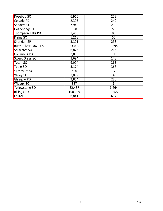| Rosebud SO                  | 6,910   | 258    |
|-----------------------------|---------|--------|
| Colstrip PD                 | 2,395   | 249    |
| Sanders SO                  | 7,949   | 292    |
| Hot Springs PD              | 590     | 58     |
| Thompson Falls PD           | 1,450   | 98     |
| Plains SO                   | 1,268   | 50     |
| Sheridan SP                 | 3,191   | 258    |
| <b>Butte-Silver Bow LEA</b> | 33,009  | 3,895  |
| Stillwater SO               | 6,825   | 215    |
| Columbus PD                 | 2,078   | 71     |
| Sweet Grass SO              | 3,694   | 148    |
| <b>Teton SO</b>             | 6,094   | 163    |
| Toole SO                    | 5,174   | 366    |
| *Treasure SO                | 596     | 17     |
| Valley SO                   | 3,879   | 148    |
| Glasgow PD                  | 2,854   | 280    |
| Wibaux SO                   | 887     | 6      |
| Yellowstone SO              | 32,487  | 1,664  |
| <b>Billings PD</b>          | 108,039 | 10,527 |
| Laurel PD                   | 6,841   | 697    |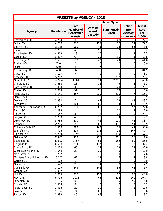| <b>ARRESTS by AGENCY - 2010</b> |            |                                                                  |                                       |                           |                                              |                                       |
|---------------------------------|------------|------------------------------------------------------------------|---------------------------------------|---------------------------|----------------------------------------------|---------------------------------------|
|                                 |            |                                                                  |                                       | <b>Arrest Type</b>        |                                              |                                       |
| <b>Agency</b>                   | Population | <b>Total</b><br><b>Number of</b><br>Reportable<br><b>Arrests</b> | On view<br><b>Arrest</b><br>(Custody) | Summoned/<br><b>Cited</b> | <b>Taken</b><br>into<br>Custody<br>(Warrant) | <b>Arrest</b><br>Rate<br>per<br>1,000 |
| Beaverhead SO                   | 4,764      | 106                                                              | 39                                    | 48                        | 19                                           | 22.3                                  |
| <b>Dillon PD</b>                | 4,250      | 338                                                              | 117                                   | 187                       | 34                                           | 79.5                                  |
| Big Horn SO                     | 13,136     | 969                                                              | 445                                   | 28                        | 496                                          | 73.8                                  |
| <b>Blaine SO</b>                | 5,211      | 69                                                               | 51                                    | 17                        | 1                                            | 13.2                                  |
| <b>Broadwater SO</b>            | 4,869      | 13                                                               | 10                                    |                           | 3                                            | 2.7                                   |
| Carbon SO                       | 5,917      | 64                                                               | 29                                    | 30                        | $\overline{5}$                               | 10.8                                  |
| Red Lodge PD                    | 2,531      | 113                                                              | 42                                    | 44                        | 27                                           | 44.6                                  |
| <b>Bridger PD</b>               | 740        | $\boldsymbol{0}$                                                 | 0                                     | $\boldsymbol{0}$          | $\boldsymbol{0}$                             | 0.0                                   |
| Joliet PD                       | 650        | 8                                                                | $\overline{7}$                        | 1                         | $\mathbf 0$                                  | 12.3                                  |
| *Fromberg PD                    | 438        | 37                                                               |                                       |                           |                                              | 84.5                                  |
| Carter SO                       | 1,197      | $\overline{4}$                                                   | 1                                     | 3                         | 0                                            | 3.3                                   |
| Cascade SO                      | 22,929     | 531                                                              | 228                                   | 232                       | 71                                           | 23.2                                  |
| <b>Great Falls PD</b>           | 59,984     | 3,601                                                            | 1,514                                 | 2,051                     | 36                                           | 60.0                                  |
| Chouteau SO                     | 3,688      | 23                                                               | 16                                    | 5                         | $\overline{2}$                               | 6.2                                   |
| Fort Benton PD                  | 1,438      | 38                                                               | 0                                     | 23                        | 15                                           | 26.4                                  |
| Custer SO                       | 3,074      | 51                                                               | 21                                    | 29                        |                                              | 16.6                                  |
| Miles City PD                   | 8,141      | 457                                                              | 230                                   | 220                       | 7                                            | 56.1                                  |
| Daniels SO                      | 1,686      | 15                                                               | 0                                     | 15                        | 0                                            | 8.9                                   |
| Dawson SO                       | 3,932      | 171                                                              | 63                                    | 19                        | 89                                           | 43.5                                  |
| <b>Glendive PD</b>              | 4,635      | 364                                                              | 60                                    | 134                       | 170                                          | 78.5                                  |
| Anaconda-Deer Lodge LEA         | 8,792      | 199                                                              | 86                                    | 56                        | 57                                           | 22.6                                  |
| Fallon SO                       | 1,088      | 14                                                               | 1                                     | 10                        | 3                                            | 12.9                                  |
| <b>Baker PD</b>                 | 1,647      | 38                                                               | 13                                    | 20                        | 5                                            | 23.1                                  |
| Fergus SO                       | 5,279      | 48                                                               | 18                                    | 4                         | 26                                           | 9.1                                   |
| Lewistown PD                    | 5,936      | 200                                                              | 46                                    | 110                       | 44                                           | 33.7                                  |
| <b>Flathead SO</b>              | 54,952     | 851                                                              | 366                                   | 431                       | 54                                           | 15.5                                  |
| Columbia Falls PD               | 5,569      | 282                                                              | 163                                   | 55                        | 64                                           | 50.6                                  |
| Whitefish PD                    | 8,776      | 419                                                              | 284                                   | 28                        | 107                                          | 47.7                                  |
| Kalispell PD                    | 22,568     | 1,296                                                            | 743                                   | 339                       | 214                                          | $\overline{57.4}$                     |
| Gallatin SO                     | 38,832     | 452                                                              | 215                                   | 211                       | 26                                           | 11.6                                  |
| Bozeman PD                      | 40,892     | 1,457                                                            | 455                                   | 952                       | 50                                           | 35.6                                  |
| Belgrade PD                     | 8,518      | 274                                                              | 127                                   | 135                       | 12                                           | 32.2                                  |
| Three Forks PD                  | 2,004      | 66                                                               | 14                                    | 19                        | 33                                           | 32.9                                  |
| West Yellowstone PD             | 1,549      | 20                                                               | 20                                    | $\mathbf 0$               | $\boldsymbol{0}$                             | 12.9                                  |
| Manhattan PD                    | 1,712      | 13                                                               | $\mathfrak{Z}$                        | 9                         | 1                                            | 7.6                                   |
| Montana State University PD     | 16,242     | 62                                                               | 12                                    | 46                        | 4                                            | 3.8                                   |
| Garfield SO                     | 1,172      | $\mathbf{1}$                                                     | $\mathbf 0$                           | 1                         | $\boldsymbol{0}$                             | 0.9                                   |
| Glacier SO                      | 10,495     | 26                                                               | 24                                    | $\mathbf 0$               | $\overline{2}$                               | 2.5                                   |
| Cut Bank PD                     | 3,179      | 243                                                              | 146                                   | 35                        | 62                                           | 76.4                                  |
| Granite SO                      | 2,902      | $\mathbf{1}$                                                     | 1                                     | $\mathbf 0$               | 0                                            | 0.3                                   |
| Hill SO                         | 7,015      | 337                                                              | 122                                   | 117                       | 98                                           | 48.0                                  |
| Havre PD                        | 9,726      | 1,018                                                            | 465                                   | 292                       | 261                                          | 104.7                                 |
| Jefferson SO                    | 10,192     | 161                                                              | 11                                    | 55                        | 95                                           | 15.8                                  |
| <b>Boulder PD</b>               | 1,503      | 8                                                                | $\overline{0}$                        | $\mathbf 0$               | 8                                            | 5.3                                   |
| Judith Basin SO                 | 2,038      | 22                                                               | 20                                    | $\boldsymbol{0}$          | $\overline{2}$                               | 10.8                                  |
| Lake SO                         | 20,772     | 74                                                               | 68                                    | $\boldsymbol{0}$          | 6                                            | 3.6                                   |
| Polson PD                       | 5,383      | 46                                                               | 45                                    | $\mathbf 0$               | 1                                            | 8.5                                   |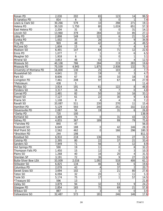| Ronan PD                    | 2,030  | 202              | 65              | 123              | 14               | 99.5  |
|-----------------------------|--------|------------------|-----------------|------------------|------------------|-------|
| St Ignatius PD              | 814    | 6                | 5               | $\mathbf 0$      | 1                | 7.4   |
| Lewis & Clark SO            | 30,266 | 579              | 10              | 298              | 271              | 19.1  |
| Helena PD                   | 30,520 | 1,750            | 80              | 1,019            | 651              | 57.3  |
| East Helena PD              | 2,204  | 31               | $\mathbf 0$     | $\mathbf 0$      | 31               | 14.1  |
| Lincoln SO                  | 13,960 | 379              | 284             | 10               | 85               | 27.1  |
| Libby PD                    | 2,898  | 149              | 122             | 6                | 21               | 51.4  |
| Eureka PD                   | 1,002  | 35               | 26              | $\boldsymbol{0}$ | 9                | 34.9  |
| <b>Troy PD</b>              | 969    | 48               | 42              | $\overline{2}$   | 4                | 49.5  |
| McCone SO                   | 1,604  | 15               | 4               | $\overline{7}$   | 4                | 9.4   |
| Madison SO                  | 6,491  | 147              | 64              | 71               | 12               | 22.6  |
| <b>Ennis PD</b>             | 1,077  | $\overline{7}$   | 1               | $\boldsymbol{0}$ | 6                | 6.5   |
| Meagher SO                  | 1,918  | $\boldsymbol{6}$ | 5               | $\boldsymbol{0}$ | $\mathbf{1}$     | 3.1   |
| Mineral SO                  | 3,853  | 48               | 43              | 1                | 4                | 12.5  |
| Missoula SO                 | 40,108 | 786              | 284             | 219              | 283              | 19.6  |
| Missoula PD                 | 70,559 | 4,945            | 1,875           | 2,938            | 132              | 70.1  |
| University of Montana PD    | 16,800 | 130              | 25              | 103              | $\sqrt{2}$       | 7.7   |
| Musselshell SO              | 4,641  | 22               | 19              | $\boldsymbol{0}$ | $\mathbf{3}$     | 4.7   |
| Park SO                     | 8,606  | 67               | 39              | 10               | 18               | 7.8   |
| Livingston PD               | 7,461  | 208              | 97              | 67               | 44               | 27.9  |
| *Petroleum                  | 438    | 5                |                 |                  |                  | 11.4  |
| Phillips SO                 | 3,914  | 191              | 61              | 122              | 8                | 48.8  |
| Pondera SO                  | 3,317  | 16               | 9               | $\overline{7}$   | $\mathbf 0$      | 4.8   |
| Conrad PD                   | 2,481  | 82               | 50              | 16               | 16               | 33.1  |
| Powell SO                   | 7,127  | 61               | 22              | 30               | 9                | 8.6   |
| Prairie SO                  | 1,108  | 8                | 4               | 4                | $\boldsymbol{0}$ | 7.2   |
| Ravalli SO                  | 33,087 | 511              | 230             | 270              | 11               | 15.4  |
| Hamilton PD                 | 5,129  | 593              | 240             | 251              | 102              | 115.6 |
| Stevensville PD             | 2,087  | 56               | 19              | 31               | 6                | 26.8  |
| *Darby PD                   | 720    | 100              |                 |                  |                  | 138.9 |
| <b>Richland SO</b>          | 4,489  | 74               | $\mathbf 0$     | 31               | 43               | 16.5  |
| Sidney PD                   | 4,855  | 367              | 189             | 99               | 79               | 75.6  |
| *Fairview PD                | 840    | 47               |                 |                  |                  | 56.0  |
| Roosevelt SO                | 6,649  | 188              | 0               | 42               | 146              | 28.3  |
| Wolf Point SO               | 2,562  | 462              | $\mathbf 0$     | 166              | 296              | 180.3 |
| *Brockton PD                | 244    | 198              |                 |                  |                  | 811.5 |
| Rosebud SO                  | 6,910  | 218              | 136             | 55               | 27               | 31.5  |
| Colstrip PD                 | 2,395  | 80               | 22              | 37               | 21               | 33.4  |
| Sanders SO                  | 7,949  | 71               | 56              | $\sqrt{3}$       | 12               | 8.9   |
| Hot Springs PD              | 590    | 19               | 11              | $\boldsymbol{0}$ | 8                | 32.2  |
| Thompson Falls PD           | 1,450  | 15               | $\overline{12}$ | $\mathbf 0$      | $\overline{3}$   | 10.3  |
| Plains SO                   | 1,268  | 40               | 16              | 20               | 4                | 31.5  |
| Sheridan SP                 | 3,191  | 72               | 36              | 9                | 27               | 22.6  |
| <b>Butte-Silver Bow LEA</b> | 33,009 | 2,016            | 1,092           | 518              | 406              | 61.1  |
| Stillwater SO               | 6,825  | 134              | 46              | 82               | 6                | 19.6  |
| Columbus PD                 | 2,078  | 43               | 4               | 37               | $\overline{2}$   | 20.7  |
| Sweet Grass SO              | 3,694  | 102              | $\mathbf{1}$    | 21               | 80               | 27.6  |
| <b>Teton SO</b>             | 6,094  | 32               | 20              | 1                | 11               | 5.3   |
| Toole SO                    | 5,174  | 75               | 17              | 1                | 57               | 14.5  |
| *Treasure SO                | 596    | 13               |                 |                  |                  | 21.8  |
| Valley SO                   | 3,879  | 94               | 32              | 53               | 9                | 24.2  |
| Glasgow PD                  | 2,854  | 165              | 75              | 69               | 21               | 57.8  |
| Wibaux SO                   | 887    | 3                | $\overline{3}$  | $\mathbf 0$      | $\overline{0}$   | 3.4   |
| Yellowstone SO              | 32,487 | 573              | 181             | 246              | 146              | 17.6  |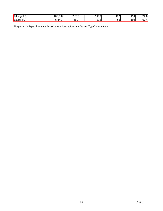| Billings<br>DГ<br>ັບ | <b>U30</b><br>08.03 | $\overline{\phantom{a}}$<br>ں ، ں ، ے | 0.400<br>. <u>. .</u><br><u>.</u> | 402           | $\sim$ $\sim$<br>.54 | C<br>24<br>$+0'$ |
|----------------------|---------------------|---------------------------------------|-----------------------------------|---------------|----------------------|------------------|
| PD<br>Laurel         | 841ء,               | 46                                    | 240<br><u>.</u>                   | --<br>໋<br>ັບ | $10\mu$              | . –<br>ັ         |

\*Reported in Paper Summary format which does not include "Arrest Type" information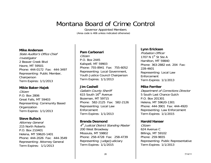# Montana Board of Crime Control

Governor Appointed Members (Area code is 406 unless indicated otherwise)

#### **Mike Anderson**

State Auditor's Office Chief Investigator 2 Beaver Creek Blvd Havre, MT 59501 Phone: 444-0172 Fax: 444-3497 Representing: Public Member, Chairperson Term Expires: 1/1/2013

#### **Mikie Baker-Hajek**

Citizen P.O. Box 2806 Great Falls, MT 59403 Representing: Community Based **Organization** Term Expires: 1/1/2013

#### **Steve Bullock**

Attorney General 215 North Roberts P.O. Box 210401 Helena, MT 59620-1401 Phone: 444-2026 Fax: 444-3549 Representing: Attorney General Term Expires: 1/1/2013

#### **Pam Carbonari**

Citizen P.O. Box 2445 Kalispell, MT 59903 Phone: 755-8941 Fax: 755-6052 Representing: Local Government, Youth Justice Council Chairperson Term Expires: 1/1/2013

#### **Jim Cashell**

Gallatin County Sheriff 615 South 16<sup>th</sup> Avenue Bozeman, MT 59715 Phone: 582-2125 Fax: 582-2126 Representing: Local Law Enforcement Term Expires: 1/1/2013

#### **Brenda Desmond**

4<sup>th</sup> Judicial District Standing Master 200 West Broadway Missoula, MT 59802 Phone: 258-4728 Fax: 258-4739 Representing: Judge/Judiciary Term Expires: 1/1/2015

#### **Lynn Erickson**

Probation Officer 1707 N  $1^{\text{st}}$  St Ste A Hamilton, MT 59840 Phone: 363-2882 ext. 204 Fax: 228-4601 Representing: Local Law Enforcement Term Expires: 1/1/2013

#### **Mike Ferriter**

Department of Corrections Director 5 South Last Chance Gulch P.O. Box 201301 Helena, MT 59620-1301 Phone: 444-3901 Fax: 444-4920 Representing: Law Enforcement Term Expires: 1/1/2015

#### **Harold Hanser**

Citizen 624 Avenue C Billings, MT 59102 Phone: 259-9655 Representing: Public Representative Term Expires: 1/1/2013